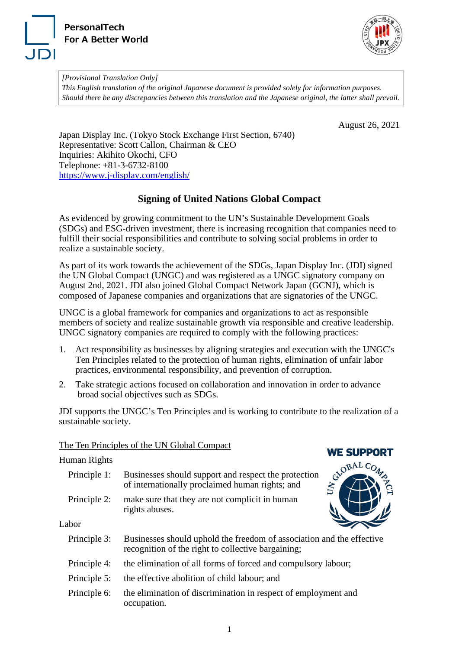



*[Provisional Translation Only] This English translation of the original Japanese document is provided solely for information purposes. Should there be any discrepancies between this translation and the Japanese original, the latter shall prevail.*

August 26, 2021

Japan Display Inc. (Tokyo Stock Exchange First Section, 6740) Representative: Scott Callon, Chairman & CEO Inquiries: Akihito Okochi, CFO Telephone: +81-3-6732-8100 <https://www.j-display.com/english/>

## **Signing of United Nations Global Compact**

As evidenced by growing commitment to the UN's Sustainable Development Goals (SDGs) and ESG-driven investment, there is increasing recognition that companies need to fulfill their social responsibilities and contribute to solving social problems in order to realize a sustainable society.

As part of its work towards the achievement of the SDGs, Japan Display Inc. (JDI) signed the UN Global Compact (UNGC) and was registered as a UNGC signatory company on August 2nd, 2021. JDI also joined Global Compact Network Japan (GCNJ), which is composed of Japanese companies and organizations that are signatories of the UNGC.

UNGC is a global framework for companies and organizations to act as responsible members of society and realize sustainable growth via responsible and creative leadership. UNGC signatory companies are required to comply with the following practices:

- 1. Act responsibility as businesses by aligning strategies and execution with the UNGC's Ten Principles related to the protection of human rights, elimination of unfair labor practices, environmental responsibility, and prevention of corruption.
- 2. Take strategic actions focused on collaboration and innovation in order to advance broad social objectives such as SDGs.

JDI supports the UNGC's Ten Principles and is working to contribute to the realization of a sustainable society.

## The Ten Principles of the UN Global Compact

## Human Rights

| Principle 1: | Businesses should support and respect the protection<br>of internationally proclaimed human rights; and |  |
|--------------|---------------------------------------------------------------------------------------------------------|--|
| Principle 2: | make sure that they are not complicit in human<br>rights abuses.                                        |  |



**WE SUPPORT** 

Labor

| Principle 3: | Businesses should uphold the freedom of association and the effective |
|--------------|-----------------------------------------------------------------------|
|              | recognition of the right to collective bargaining;                    |

- Principle 4: the elimination of all forms of forced and compulsory labour;
- Principle 5: the effective abolition of child labour; and
- Principle 6: the elimination of discrimination in respect of employment and occupation.